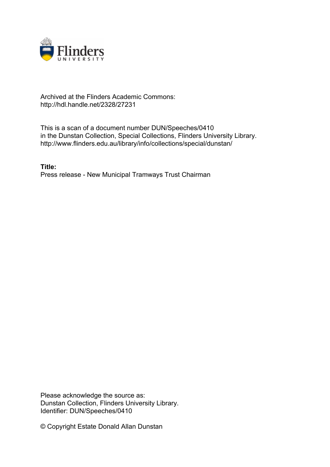

## Archived at the Flinders Academic Commons: http://hdl.handle.net/2328/27231

This is a scan of a document number DUN/Speeches/0410 in the Dunstan Collection, Special Collections, Flinders University Library. http://www.flinders.edu.au/library/info/collections/special/dunstan/

**Title:** Press release - New Municipal Tramways Trust Chairman

Please acknowledge the source as: Dunstan Collection, Flinders University Library. Identifier: DUN/Speeches/0410

© Copyright Estate Donald Allan Dunstan